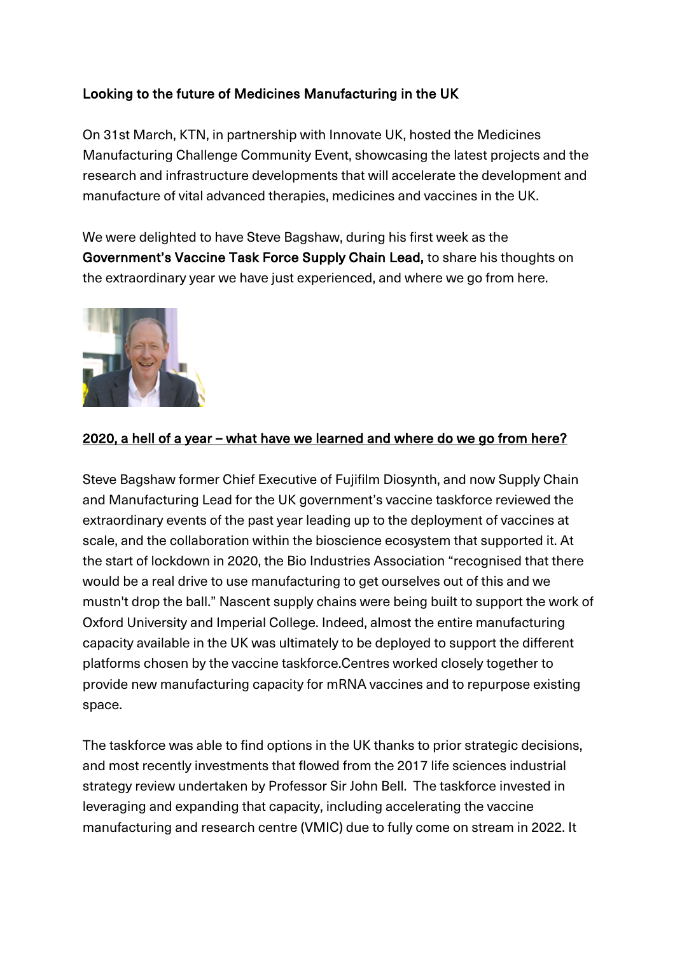## Looking to the future of Medicines Manufacturing in the UK

On 31st March, KTN, in partnership with Innovate UK, hosted the Medicines Manufacturing Challenge Community Event, showcasing the latest projects and the research and infrastructure developments that will accelerate the development and manufacture of vital advanced therapies, medicines and vaccines in the UK.

We were delighted to have Steve Bagshaw, during his first week as the Government's Vaccine Task Force Supply Chain Lead, to share his thoughts on the extraordinary year we have just experienced, and where we go from here.



## 2020, a hell of a year – what have we learned and where do we go from here?

Steve Bagshaw former Chief Executive of Fujifilm Diosynth, and now Supply Chain and Manufacturing Lead for the UK government's vaccine taskforce reviewed the extraordinary events of the past year leading up to the deployment of vaccines at scale, and the collaboration within the bioscience ecosystem that supported it. At the start of lockdown in 2020, the Bio Industries Association "recognised that there would be a real drive to use manufacturing to get ourselves out of this and we mustn't drop the ball." Nascent supply chains were being built to support the work of Oxford University and Imperial College. Indeed, almost the entire manufacturing capacity available in the UK was ultimately to be deployed to support the different platforms chosen by the vaccine taskforce.Centres worked closely together to provide new manufacturing capacity for mRNA vaccines and to repurpose existing space.

The taskforce was able to find options in the UK thanks to prior strategic decisions, and most recently investments that flowed from the 2017 life sciences industrial strategy review undertaken by Professor Sir John Bell. The taskforce invested in leveraging and expanding that capacity, including accelerating the vaccine manufacturing and research centre (VMIC) due to fully come on stream in 2022. It